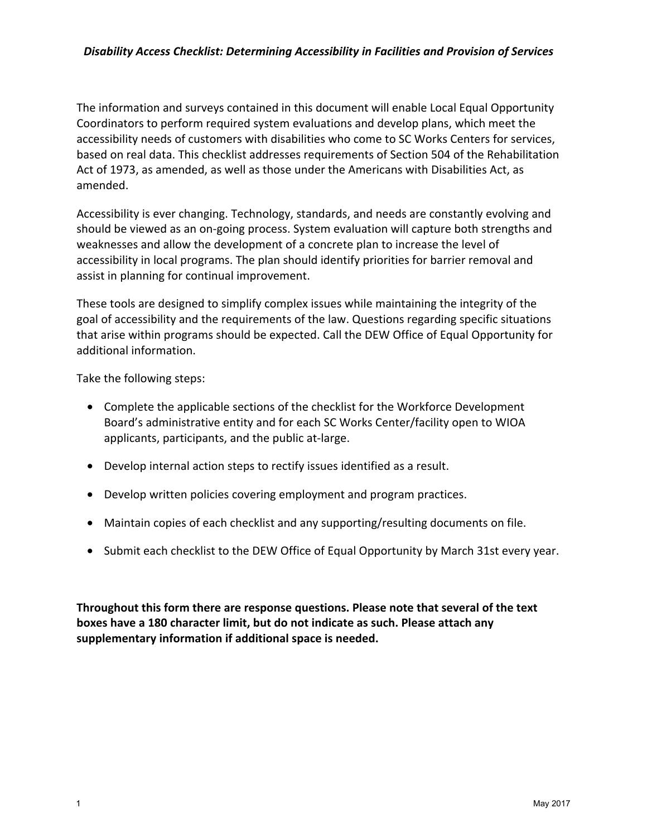#### *Disability Access Checklist: Determining Accessibility in Facilities and Provision of Services*

The information and surveys contained in this document will enable Local Equal Opportunity Coordinators to perform required system evaluations and develop plans, which meet the accessibility needs of customers with disabilities who come to SC Works Centers for services, based on real data. This checklist addresses requirements of Section 504 of the Rehabilitation Act of 1973, as amended, as well as those under the Americans with Disabilities Act, as amended.

Accessibility is ever changing. Technology, standards, and needs are constantly evolving and should be viewed as an on-going process. System evaluation will capture both strengths and weaknesses and allow the development of a concrete plan to increase the level of accessibility in local programs. The plan should identify priorities for barrier removal and assist in planning for continual improvement.

These tools are designed to simplify complex issues while maintaining the integrity of the goal of accessibility and the requirements of the law. Questions regarding specific situations that arise within programs should be expected. Call the DEW Office of Equal Opportunity for additional information.

Take the following steps:

- Complete the applicable sections of the checklist for the Workforce Development Board's administrative entity and for each SC Works Center/facility open to WIOA applicants, participants, and the public at-large.
- Develop internal action steps to rectify issues identified as a result.
- Develop written policies covering employment and program practices.
- Maintain copies of each checklist and any supporting/resulting documents on file.
- Submit each checklist to the DEW Office of Equal Opportunity by March 31st every year.

**Throughout this form there are response questions. Please note that several of the text boxes have a 180 character limit, but do not indicate as such. Please attach any supplementary information if additional space is needed.**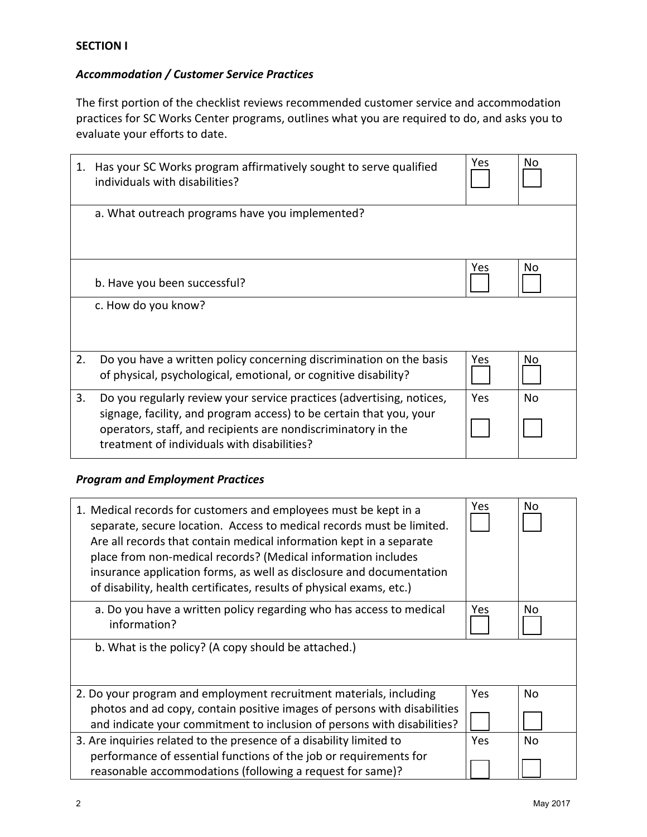# *Accommodation / Customer Service Practices*

The first portion of the checklist reviews recommended customer service and accommodation practices for SC Works Center programs, outlines what you are required to do, and asks you to evaluate your efforts to date.

| 1. | Has your SC Works program affirmatively sought to serve qualified<br>individuals with disabilities?                                                                                                                                                          | Yes | No             |
|----|--------------------------------------------------------------------------------------------------------------------------------------------------------------------------------------------------------------------------------------------------------------|-----|----------------|
|    | a. What outreach programs have you implemented?                                                                                                                                                                                                              |     |                |
|    | b. Have you been successful?                                                                                                                                                                                                                                 | Yes | No             |
|    | c. How do you know?                                                                                                                                                                                                                                          |     |                |
| 2. | Do you have a written policy concerning discrimination on the basis<br>of physical, psychological, emotional, or cognitive disability?                                                                                                                       | Yes | No             |
| 3. | Do you regularly review your service practices (advertising, notices,<br>signage, facility, and program access) to be certain that you, your<br>operators, staff, and recipients are nondiscriminatory in the<br>treatment of individuals with disabilities? | Yes | N <sub>o</sub> |

# *Program and Employment Practices*

| 1. Medical records for customers and employees must be kept in a<br>separate, secure location. Access to medical records must be limited.<br>Are all records that contain medical information kept in a separate<br>place from non-medical records? (Medical information includes<br>insurance application forms, as well as disclosure and documentation<br>of disability, health certificates, results of physical exams, etc.) | Yes | No        |
|-----------------------------------------------------------------------------------------------------------------------------------------------------------------------------------------------------------------------------------------------------------------------------------------------------------------------------------------------------------------------------------------------------------------------------------|-----|-----------|
| a. Do you have a written policy regarding who has access to medical<br>information?                                                                                                                                                                                                                                                                                                                                               | Yes | No        |
| b. What is the policy? (A copy should be attached.)                                                                                                                                                                                                                                                                                                                                                                               |     |           |
| 2. Do your program and employment recruitment materials, including<br>photos and ad copy, contain positive images of persons with disabilities<br>and indicate your commitment to inclusion of persons with disabilities?                                                                                                                                                                                                         | Yes | <b>No</b> |
| 3. Are inquiries related to the presence of a disability limited to<br>performance of essential functions of the job or requirements for<br>reasonable accommodations (following a request for same)?                                                                                                                                                                                                                             | Yes | No        |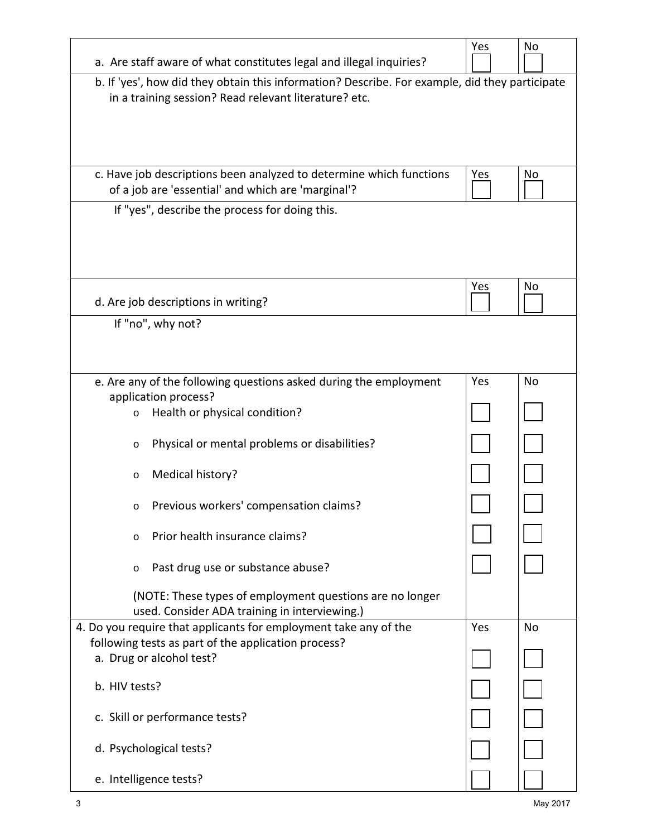|                                                                                                                                                         | Yes        | No        |
|---------------------------------------------------------------------------------------------------------------------------------------------------------|------------|-----------|
| a. Are staff aware of what constitutes legal and illegal inquiries?                                                                                     |            |           |
| b. If 'yes', how did they obtain this information? Describe. For example, did they participate<br>in a training session? Read relevant literature? etc. |            |           |
| c. Have job descriptions been analyzed to determine which functions<br>of a job are 'essential' and which are 'marginal'?                               | <b>Yes</b> | No        |
| If "yes", describe the process for doing this.                                                                                                          |            |           |
| d. Are job descriptions in writing?                                                                                                                     | Yes        | No        |
| If "no", why not?                                                                                                                                       |            |           |
| e. Are any of the following questions asked during the employment                                                                                       | Yes        | No        |
| application process?                                                                                                                                    |            |           |
| Health or physical condition?<br>$\circ$                                                                                                                |            |           |
| Physical or mental problems or disabilities?<br>$\circ$                                                                                                 |            |           |
| Medical history?<br>$\circ$                                                                                                                             |            |           |
| Previous workers' compensation claims?<br>$\circ$                                                                                                       |            |           |
| Prior health insurance claims?<br>$\circ$                                                                                                               |            |           |
| Past drug use or substance abuse?<br>$\circ$                                                                                                            |            |           |
| (NOTE: These types of employment questions are no longer<br>used. Consider ADA training in interviewing.)                                               |            |           |
| 4. Do you require that applicants for employment take any of the                                                                                        | Yes        | <b>No</b> |
| following tests as part of the application process?                                                                                                     |            |           |
| a. Drug or alcohol test?                                                                                                                                |            |           |
| b. HIV tests?                                                                                                                                           |            |           |
| c. Skill or performance tests?                                                                                                                          |            |           |
| d. Psychological tests?                                                                                                                                 |            |           |
| e. Intelligence tests?                                                                                                                                  |            |           |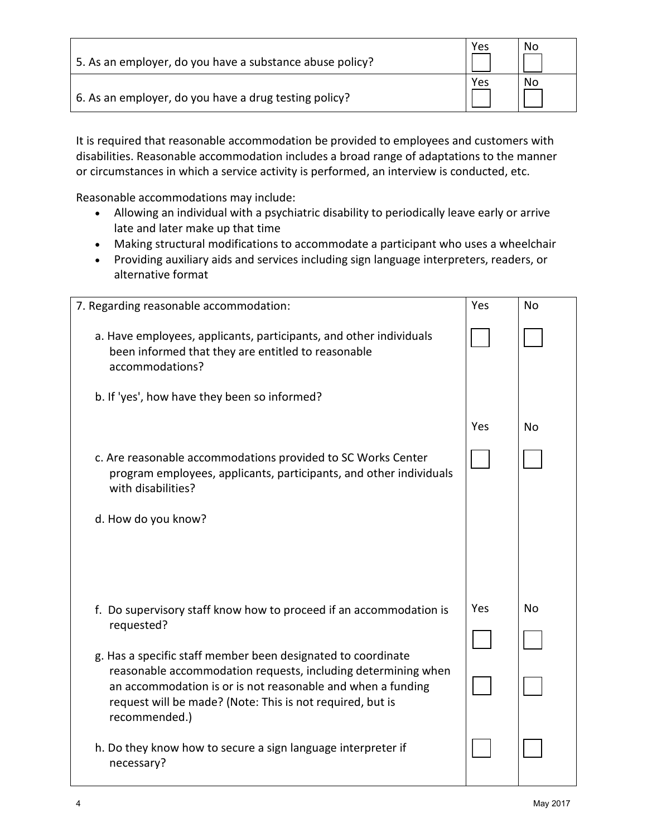| 5. As an employer, do you have a substance abuse policy? | Yes | No |
|----------------------------------------------------------|-----|----|
| 6. As an employer, do you have a drug testing policy?    | Yes | No |

It is required that reasonable accommodation be provided to employees and customers with disabilities. Reasonable accommodation includes a broad range of adaptations to the manner or circumstances in which a service activity is performed, an interview is conducted, etc.

Reasonable accommodations may include:

- Allowing an individual with a psychiatric disability to periodically leave early or arrive late and later make up that time
- Making structural modifications to accommodate a participant who uses a wheelchair
- Providing auxiliary aids and services including sign language interpreters, readers, or alternative format

| 7. Regarding reasonable accommodation:                                                                                                                                                                     | Yes | <b>No</b> |
|------------------------------------------------------------------------------------------------------------------------------------------------------------------------------------------------------------|-----|-----------|
| a. Have employees, applicants, participants, and other individuals<br>been informed that they are entitled to reasonable<br>accommodations?                                                                |     |           |
| b. If 'yes', how have they been so informed?                                                                                                                                                               |     |           |
|                                                                                                                                                                                                            | Yes | No        |
| c. Are reasonable accommodations provided to SC Works Center<br>program employees, applicants, participants, and other individuals<br>with disabilities?                                                   |     |           |
| d. How do you know?                                                                                                                                                                                        |     |           |
|                                                                                                                                                                                                            |     |           |
| f. Do supervisory staff know how to proceed if an accommodation is<br>requested?                                                                                                                           | Yes | <b>No</b> |
| g. Has a specific staff member been designated to coordinate                                                                                                                                               |     |           |
| reasonable accommodation requests, including determining when<br>an accommodation is or is not reasonable and when a funding<br>request will be made? (Note: This is not required, but is<br>recommended.) |     |           |
| h. Do they know how to secure a sign language interpreter if<br>necessary?                                                                                                                                 |     |           |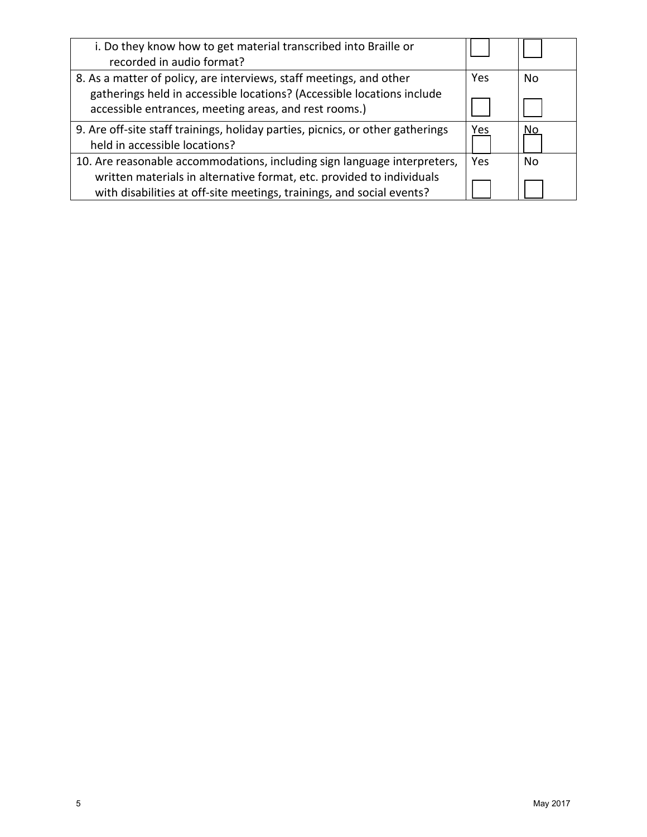| i. Do they know how to get material transcribed into Braille or<br>recorded in audio format?                                                   |            |    |
|------------------------------------------------------------------------------------------------------------------------------------------------|------------|----|
| 8. As a matter of policy, are interviews, staff meetings, and other                                                                            | Yes        | No |
| gatherings held in accessible locations? (Accessible locations include<br>accessible entrances, meeting areas, and rest rooms.)                |            |    |
| 9. Are off-site staff trainings, holiday parties, picnics, or other gatherings<br>held in accessible locations?                                | Yes        | No |
| 10. Are reasonable accommodations, including sign language interpreters,                                                                       | <b>Yes</b> | Nο |
| written materials in alternative format, etc. provided to individuals<br>with disabilities at off-site meetings, trainings, and social events? |            |    |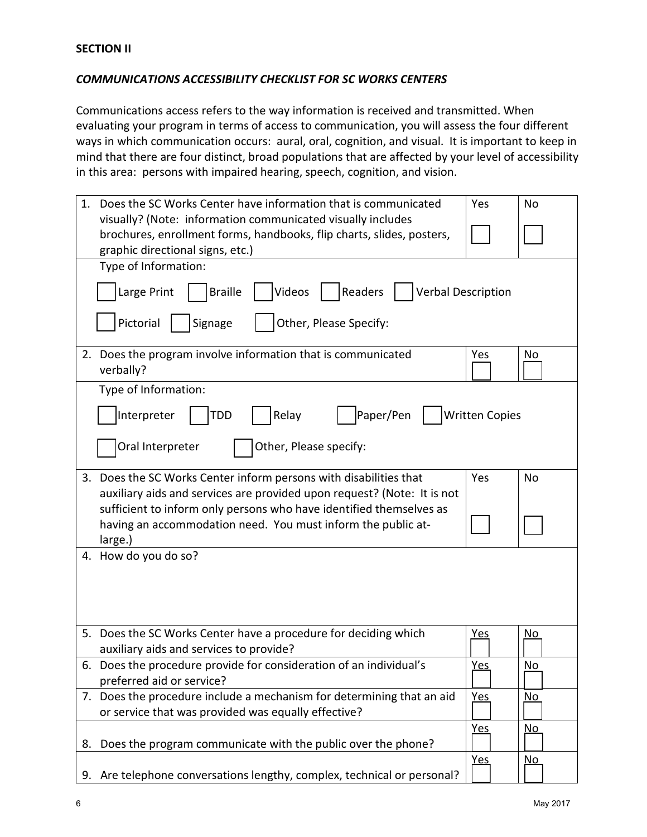### *COMMUNICATIONS ACCESSIBILITY CHECKLIST FOR SC WORKS CENTERS*

Communications access refers to the way information is received and transmitted. When evaluating your program in terms of access to communication, you will assess the four different ways in which communication occurs: aural, oral, cognition, and visual. It is important to keep in mind that there are four distinct, broad populations that are affected by your level of accessibility in this area: persons with impaired hearing, speech, cognition, and vision.

| 1. | Does the SC Works Center have information that is communicated<br>visually? (Note: information communicated visually includes<br>brochures, enrollment forms, handbooks, flip charts, slides, posters,<br>graphic directional signs, etc.) | Yes                   | <b>No</b> |
|----|--------------------------------------------------------------------------------------------------------------------------------------------------------------------------------------------------------------------------------------------|-----------------------|-----------|
|    | Type of Information:<br>Large Print<br><b>Braille</b><br>Videos<br>Readers<br><b>Verbal Description</b>                                                                                                                                    |                       |           |
|    | Pictorial<br>Other, Please Specify:<br>Signage                                                                                                                                                                                             |                       |           |
|    | 2. Does the program involve information that is communicated<br>verbally?                                                                                                                                                                  | Yes                   | No        |
|    | Type of Information:                                                                                                                                                                                                                       |                       |           |
|    | Paper/Pen<br>Interpreter<br>Relay<br>TDD                                                                                                                                                                                                   | <b>Written Copies</b> |           |
|    | Other, Please specify:<br>Oral Interpreter                                                                                                                                                                                                 |                       |           |
|    | 3. Does the SC Works Center inform persons with disabilities that<br>auxiliary aids and services are provided upon request? (Note: It is not                                                                                               | Yes                   | <b>No</b> |
|    | sufficient to inform only persons who have identified themselves as<br>having an accommodation need. You must inform the public at-<br>large.)                                                                                             |                       |           |
|    | 4. How do you do so?                                                                                                                                                                                                                       |                       |           |
|    |                                                                                                                                                                                                                                            |                       |           |
|    | 5. Does the SC Works Center have a procedure for deciding which<br>auxiliary aids and services to provide?                                                                                                                                 | <u>Yes</u>            | <u>No</u> |
|    | 6. Does the procedure provide for consideration of an individual's<br>preferred aid or service?                                                                                                                                            | Yes                   | No        |
|    | 7. Does the procedure include a mechanism for determining that an aid<br>or service that was provided was equally effective?                                                                                                               | <b>Yes</b>            | No        |
| 8. | Does the program communicate with the public over the phone?                                                                                                                                                                               | <b>Yes</b>            | <u>No</u> |
|    | 9. Are telephone conversations lengthy, complex, technical or personal?                                                                                                                                                                    | Yes                   | <u>No</u> |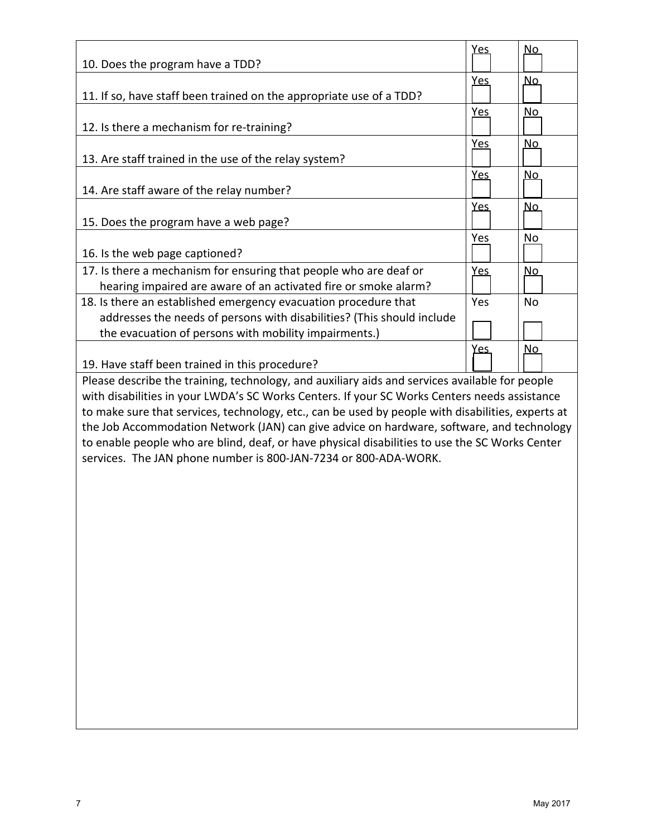|                                                                                                   | <u>Yes</u> | <u>No</u> |  |
|---------------------------------------------------------------------------------------------------|------------|-----------|--|
| 10. Does the program have a TDD?                                                                  |            |           |  |
|                                                                                                   | <u>Yes</u> | <u>No</u> |  |
| 11. If so, have staff been trained on the appropriate use of a TDD?                               |            |           |  |
|                                                                                                   | Yes        | <u>No</u> |  |
| 12. Is there a mechanism for re-training?                                                         |            |           |  |
|                                                                                                   | <u>Yes</u> | <u>No</u> |  |
| 13. Are staff trained in the use of the relay system?                                             |            |           |  |
|                                                                                                   | <b>Yes</b> | <u>No</u> |  |
| 14. Are staff aware of the relay number?                                                          |            |           |  |
|                                                                                                   | <b>Yes</b> | <u>No</u> |  |
| 15. Does the program have a web page?                                                             |            |           |  |
|                                                                                                   | Yes        | No        |  |
| 16. Is the web page captioned?                                                                    |            |           |  |
| 17. Is there a mechanism for ensuring that people who are deaf or                                 | <b>Yes</b> | <u>No</u> |  |
| hearing impaired are aware of an activated fire or smoke alarm?                                   |            |           |  |
| 18. Is there an established emergency evacuation procedure that                                   | Yes        | <b>No</b> |  |
| addresses the needs of persons with disabilities? (This should include                            |            |           |  |
| the evacuation of persons with mobility impairments.)                                             |            |           |  |
|                                                                                                   | <u>Yes</u> | <u>No</u> |  |
|                                                                                                   |            |           |  |
| 19. Have staff been trained in this procedure?                                                    |            |           |  |
|                                                                                                   |            |           |  |
| Please describe the training, technology, and auxiliary aids and services available for people    |            |           |  |
| with disabilities in your LWDA's SC Works Centers. If your SC Works Centers needs assistance      |            |           |  |
| to make sure that services, technology, etc., can be used by people with disabilities, experts at |            |           |  |
| the Job Accommodation Network (JAN) can give advice on hardware, software, and technology         |            |           |  |
| to enable people who are blind, deaf, or have physical disabilities to use the SC Works Center    |            |           |  |
| services. The JAN phone number is 800-JAN-7234 or 800-ADA-WORK.                                   |            |           |  |
|                                                                                                   |            |           |  |
|                                                                                                   |            |           |  |
|                                                                                                   |            |           |  |
|                                                                                                   |            |           |  |
|                                                                                                   |            |           |  |
|                                                                                                   |            |           |  |
|                                                                                                   |            |           |  |
|                                                                                                   |            |           |  |
|                                                                                                   |            |           |  |
|                                                                                                   |            |           |  |
|                                                                                                   |            |           |  |
|                                                                                                   |            |           |  |
|                                                                                                   |            |           |  |
|                                                                                                   |            |           |  |
|                                                                                                   |            |           |  |